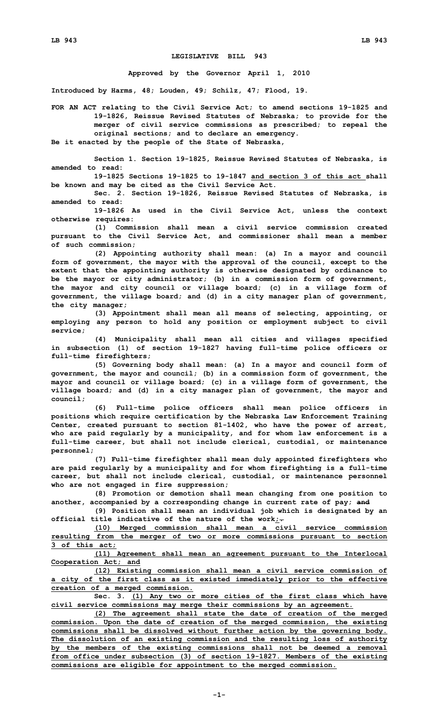## **LEGISLATIVE BILL 943**

**Approved by the Governor April 1, 2010**

**Introduced by Harms, 48; Louden, 49; Schilz, 47; Flood, 19.**

**FOR AN ACT relating to the Civil Service Act; to amend sections 19-1825 and 19-1826, Reissue Revised Statutes of Nebraska; to provide for the merger of civil service commissions as prescribed; to repeal the original sections; and to declare an emergency.**

**Be it enacted by the people of the State of Nebraska,**

**Section 1. Section 19-1825, Reissue Revised Statutes of Nebraska, is amended to read:**

**19-1825 Sections 19-1825 to 19-1847 and section 3 of this act shall be known and may be cited as the Civil Service Act.**

**Sec. 2. Section 19-1826, Reissue Revised Statutes of Nebraska, is amended to read:**

**19-1826 As used in the Civil Service Act, unless the context otherwise requires:**

**(1) Commission shall mean <sup>a</sup> civil service commission created pursuant to the Civil Service Act, and commissioner shall mean <sup>a</sup> member of such commission;**

**(2) Appointing authority shall mean: (a) In <sup>a</sup> mayor and council form of government, the mayor with the approval of the council, except to the extent that the appointing authority is otherwise designated by ordinance to be the mayor or city administrator; (b) in <sup>a</sup> commission form of government, the mayor and city council or village board; (c) in <sup>a</sup> village form of government, the village board; and (d) in <sup>a</sup> city manager plan of government, the city manager;**

**(3) Appointment shall mean all means of selecting, appointing, or employing any person to hold any position or employment subject to civil service;**

**(4) Municipality shall mean all cities and villages specified in subsection (1) of section 19-1827 having full-time police officers or full-time firefighters;**

**(5) Governing body shall mean: (a) In <sup>a</sup> mayor and council form of government, the mayor and council; (b) in <sup>a</sup> commission form of government, the mayor and council or village board; (c) in <sup>a</sup> village form of government, the village board; and (d) in <sup>a</sup> city manager plan of government, the mayor and council;**

**(6) Full-time police officers shall mean police officers in positions which require certification by the Nebraska Law Enforcement Training Center, created pursuant to section 81-1402, who have the power of arrest, who are paid regularly by <sup>a</sup> municipality, and for whom law enforcement is <sup>a</sup> full-time career, but shall not include clerical, custodial, or maintenance personnel;**

**(7) Full-time firefighter shall mean duly appointed firefighters who are paid regularly by <sup>a</sup> municipality and for whom firefighting is <sup>a</sup> full-time career, but shall not include clerical, custodial, or maintenance personnel who are not engaged in fire suppression;**

**(8) Promotion or demotion shall mean changing from one position to another, accompanied by <sup>a</sup> corresponding change in current rate of pay; and**

**(9) Position shall mean an individual job which is designated by an official title indicative of the nature of the work;.**

**(10) Merged commission shall mean <sup>a</sup> civil service commission resulting from the merger of two or more commissions pursuant to section 3 of this act;**

**(11) Agreement shall mean an agreement pursuant to the Interlocal Cooperation Act; and**

**(12) Existing commission shall mean <sup>a</sup> civil service commission of <sup>a</sup> city of the first class as it existed immediately prior to the effective creation of <sup>a</sup> merged commission.**

**Sec. 3. (1) Any two or more cities of the first class which have civil service commissions may merge their commissions by an agreement.**

**(2) The agreement shall state the date of creation of the merged commission. Upon the date of creation of the merged commission, the existing commissions shall be dissolved without further action by the governing body. The dissolution of an existing commission and the resulting loss of authority by the members of the existing commissions shall not be deemed <sup>a</sup> removal from office under subsection (3) of section 19-1827. Members of the existing commissions are eligible for appointment to the merged commission.**